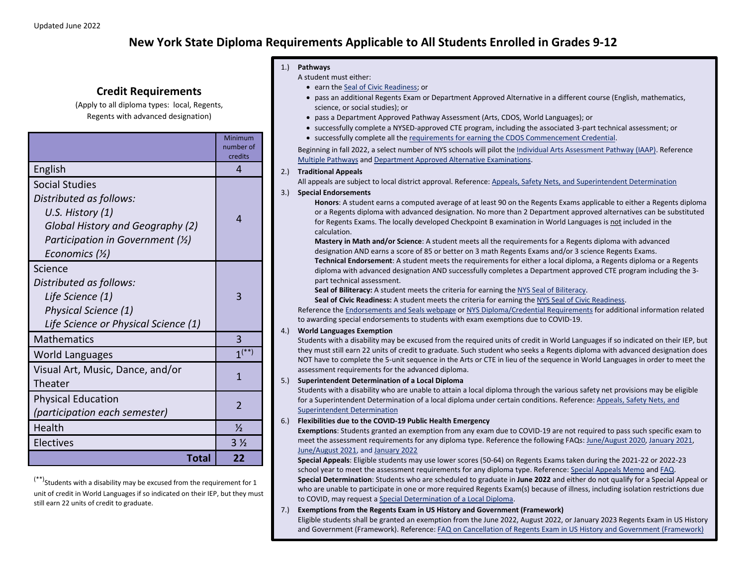# **New York State Diploma Requirements Applicable to All Students Enrolled in Grades 9-12**

## **Credit Requirements**

(Apply to all diploma types: local, Regents, Regents with advanced designation)

|                                                                                                                                                                          | Minimum<br>number of<br>credits |
|--------------------------------------------------------------------------------------------------------------------------------------------------------------------------|---------------------------------|
| English                                                                                                                                                                  | 4                               |
| <b>Social Studies</b><br>Distributed as follows:<br>U.S. History (1)<br>Global History and Geography (2)<br>Participation in Government $(\frac{1}{2})$<br>Economics (½) | 4                               |
| Science<br>Distributed as follows:<br>Life Science (1)<br>Physical Science (1)<br>Life Science or Physical Science (1)                                                   | 3                               |
| <b>Mathematics</b>                                                                                                                                                       | 3                               |
| World Languages                                                                                                                                                          | $1^{(*)}$                       |
| Visual Art, Music, Dance, and/or<br>Theater                                                                                                                              | 1                               |
| <b>Physical Education</b><br>(participation each semester)                                                                                                               | $\overline{\phantom{0}}$        |
| Health                                                                                                                                                                   | $\frac{1}{2}$                   |
| Electives                                                                                                                                                                | 3 <sub>2</sub>                  |
| Total                                                                                                                                                                    | 22                              |

#### 1.) **Pathways**

A student must either:

- earn th[e Seal of Civic Readiness;](http://www.nysed.gov/curriculum-instruction/civic-readiness-initiative) or
- pass an additional Regents Exam or Department Approved Alternative in a different course (English, mathematics, science, or social studies); or
- pass a Department Approved Pathway Assessment (Arts, CDOS, World Languages); or
- successfully complete a NYSED-approved CTE program, including the associated 3-part technical assessment; or
- successfully complete all th[e requirements for earning the CDOS Commencement Credential.](http://www.nysed.gov/curriculum-instruction/cdos-pathway-regents-or-local-diploma)

Beginning in fall 2022, a select number of NYS schools will pilot the *Individual Arts Assessment Pathway (IAAP)*. Reference [Multiple Pathways](http://www.nysed.gov/curriculum-instruction/multiple-pathways) and [Department Approved Alternative Examinations.](http://www.p12.nysed.gov/assessment/hsgen/archive/list.pdf)

#### 2.) **Traditional Appeals**

All appeals are subject to local district approval. Reference: [Appeals, Safety Nets, and Superintendent Determination](http://www.nysed.gov/curriculum-instruction/appeals-safety-nets-and-superintendent-determination)

#### 3.) **Special Endorsements**

**Honors**: A student earns a computed average of at least 90 on the Regents Exams applicable to either a Regents diploma or a Regents diploma with advanced designation. No more than 2 Department approved alternatives can be substituted for Regents Exams. The locally developed Checkpoint B examination in World Languages is not included in the calculation.

**Mastery in Math and/or Science**: A student meets all the requirements for a Regents diploma with advanced designation AND earns a score of 85 or better on 3 math Regents Exams and/or 3 science Regents Exams. **Technical Endorsement**: A student meets the requirements for either a local diploma, a Regents diploma or a Regents diploma with advanced designation AND successfully completes a Department approved CTE program including the 3 part technical assessment.

Seal of Biliteracy: A student meets the criteria for earning the NYS [Seal of Biliteracy.](http://www.nysed.gov/world-languages/new-york-state-seal-biliteracy-nyssb)

**Seal of Civic Readiness:** A student meets the criteria for earning th[e NYS Seal of Civic Readiness.](http://www.nysed.gov/curriculum-instruction/seal-civic-readiness)

Reference the [Endorsements and Seals webpage](http://www.nysed.gov/curriculum-instruction/endorsements-and-seals) o[r NYS Diploma/Credential Requirements](http://www.nysed.gov/common/nysed/files/programs/curriculum-instruction/diploma-and-credentials-summary-requirements.pdf) for additional information related to awarding special endorsements to students with exam exemptions due to COVID-19.

#### 4.) **World Languages Exemption**

Students with a disability may be excused from the required units of credit in World Languages if so indicated on their IEP, but they must still earn 22 units of credit to graduate. Such student who seeks a Regents diploma with advanced designation does NOT have to complete the 5-unit sequence in the Arts or CTE in lieu of the sequence in World Languages in order to meet the assessment requirements for the advanced diploma.

#### 5.) **Superintendent Determination of a Local Diploma**

Students with a disability who are unable to attain a local diploma through the various safety net provisions may be eligible for a Superintendent Determination of a local diploma under certain conditions. Reference: [Appeals, Safety Nets, and](http://www.nysed.gov/curriculum-instruction/appeals-safety-nets-and-superintendent-determination)  [Superintendent Determination](http://www.nysed.gov/curriculum-instruction/appeals-safety-nets-and-superintendent-determination)

#### 6.) **Flexibilities due to the COVID-19 Public Health Emergency**

**Exemptions**: Students granted an exemption from any exam due to COVID-19 are not required to pass such specific exam to meet the assessment requirements for any diploma type. Reference the following FAQs: [June/August 2020,](http://www.nysed.gov/common/nysed/files/programs/coronavirus/nysed-covid-19-regents-grad-req-faq.pdf) [January 2021,](http://www.nysed.gov/common/nysed/files/programs/coronavirus/faq-january-2021-regents-examinations.pdf) [June/August 2021,](http://www.nysed.gov/common/nysed/files/programs/state-assessment/faq-june-august-2021-assessments.pdf) and [January 2022](http://www.nysed.gov/common/nysed/files/programs/coronavirus/faq-january-2022-exemptions.pdf)

**Special Appeals**: Eligible students may use lower scores (50-64) on Regents Exams taken during the 2021-22 or 2022-23 school year to meet the assessment requirements for any diploma type. Reference[: Special Appeals Memo](http://www.nysed.gov/memo/curriculum-instruction/flexibility-use-2021-22-and-2022-23-regents-examination-scores-satisfy) an[d FAQ.](http://www.nysed.gov/common/nysed/files/programs/curriculum-instruction/faqspecialappealtoearndiplomalowerscoreregents.pdf) **Special Determination**: Students who are scheduled to graduate in **June 2022** and either do not qualify for a Special Appeal or who are unable to participate in one or more required Regents Exam(s) because of illness, including isolation restrictions due to COVID, may request a Special [Determination of a Local Diploma.](https://www.regents.nysed.gov/common/regents/files/622p12a9.pdf)

#### 7.) **Exemptions from the Regents Exam in US History and Government (Framework)**

Eligible students shall be granted an exemption from the June 2022, August 2022, or January 2023 Regents Exam in US History and Government (Framework). Reference[: FAQ on Cancellation of Regents Exam in US History and Government \(Framework\)](http://www.nysed.gov/common/nysed/files/programs/state-assessment/faq-cancellation-regents-exam-ushg-framework-622.pdf)

 $(***)$ Students with a disability may be excused from the requirement for 1 unit of credit in World Languages if so indicated on their IEP, but they must still earn 22 units of credit to graduate.